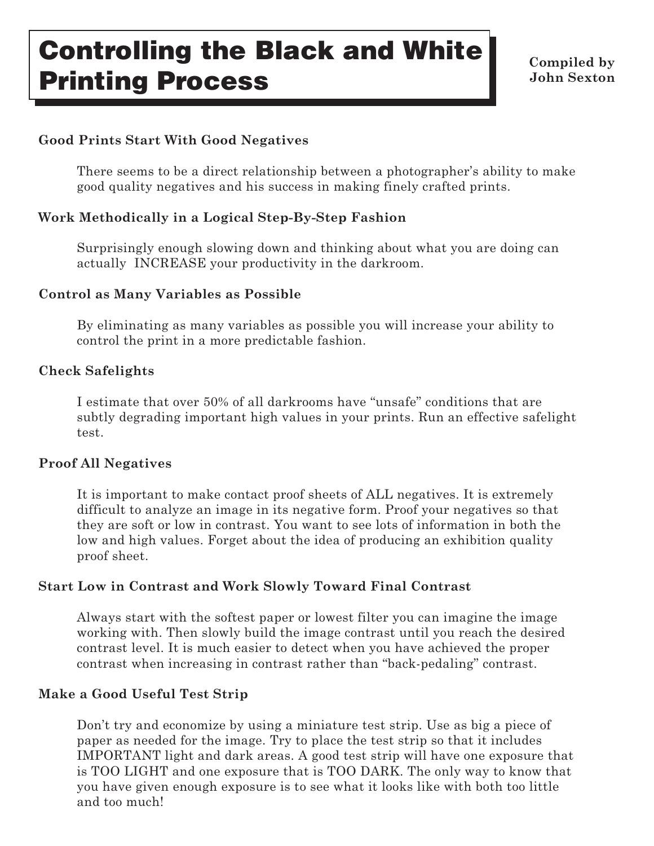# **Controlling the Black and White Printing Process**

**Compiled by John Sexton**

#### **Good Prints Start With Good Negatives**

There seems to be a direct relationship between a photographer's ability to make good quality negatives and his success in making finely crafted prints.

#### **Work Methodically in a Logical Step-By-Step Fashion**

Surprisingly enough slowing down and thinking about what you are doing can actually INCREASE your productivity in the darkroom.

#### **Control as Many Variables as Possible**

By eliminating as many variables as possible you will increase your ability to control the print in a more predictable fashion.

#### **Check Safelights**

I estimate that over 50% of all darkrooms have "unsafe" conditions that are subtly degrading important high values in your prints. Run an effective safelight test.

#### **Proof All Negatives**

It is important to make contact proof sheets of ALL negatives. It is extremely difficult to analyze an image in its negative form. Proof your negatives so that they are soft or low in contrast. You want to see lots of information in both the low and high values. Forget about the idea of producing an exhibition quality proof sheet.

## **Start Low in Contrast and Work Slowly Toward Final Contrast**

Always start with the softest paper or lowest filter you can imagine the image working with. Then slowly build the image contrast until you reach the desired contrast level. It is much easier to detect when you have achieved the proper contrast when increasing in contrast rather than "back-pedaling" contrast.

## **Make a Good Useful Test Strip**

Don't try and economize by using a miniature test strip. Use as big a piece of paper as needed for the image. Try to place the test strip so that it includes IMPORTANT light and dark areas. A good test strip will have one exposure that is TOO LIGHT and one exposure that is TOO DARK. The only way to know that you have given enough exposure is to see what it looks like with both too little and too much!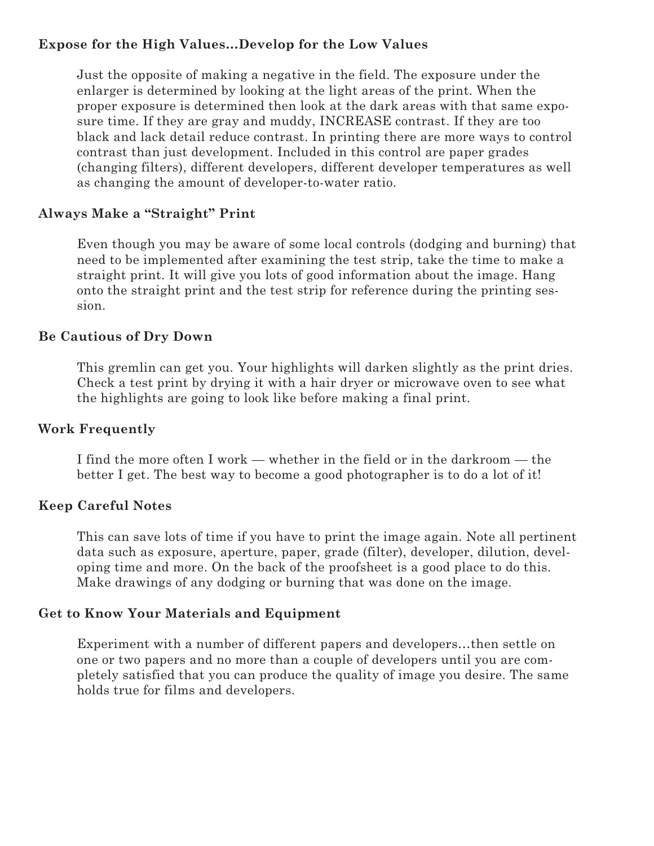#### **Expose for the High Values…Develop for the Low Values**

Just the opposite of making a negative in the field. The exposure under the enlarger is determined by looking at the light areas of the print. When the proper exposure is determined then look at the dark areas with that same exposure time. If they are gray and muddy, INCREASE contrast. If they are too black and lack detail reduce contrast. In printing there are more ways to control contrast than just development. Included in this control are paper grades (changing filters), different developers, different developer temperatures as well as changing the amount of developer-to-water ratio.

#### **Always Make a "Straight" Print**

Even though you may be aware of some local controls (dodging and burning) that need to be implemented after examining the test strip, take the time to make a straight print. It will give you lots of good information about the image. Hang onto the straight print and the test strip for reference during the printing session.

#### **Be Cautious of Dry Down**

This gremlin can get you. Your highlights will darken slightly as the print dries. Check a test print by drying it with a hair dryer or microwave oven to see what the highlights are going to look like before making a final print.

## **Work Frequently**

I find the more often I work — whether in the field or in the darkroom — the better I get. The best way to become a good photographer is to do a lot of it!

#### **Keep Careful Notes**

This can save lots of time if you have to print the image again. Note all pertinent data such as exposure, aperture, paper, grade (filter), developer, dilution, developing time and more. On the back of the proofsheet is a good place to do this. Make drawings of any dodging or burning that was done on the image.

#### **Get to Know Your Materials and Equipment**

Experiment with a number of different papers and developers…then settle on one or two papers and no more than a couple of developers until you are completely satisfied that you can produce the quality of image you desire. The same holds true for films and developers.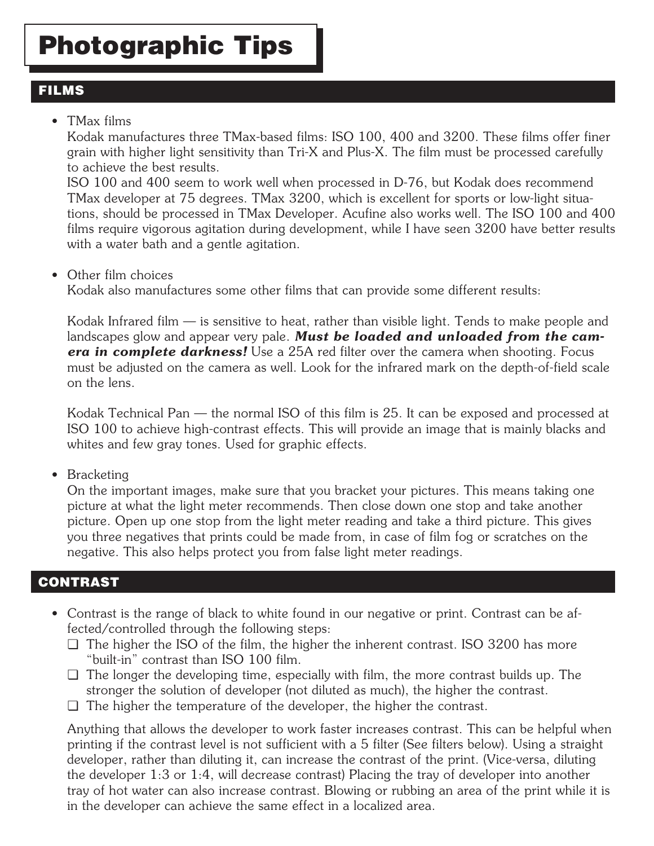## **FILMS**

## • TMax films

Kodak manufactures three TMax-based films: ISO 100, 400 and 3200. These films offer finer grain with higher light sensitivity than Tri-X and Plus-X. The film must be processed carefully to achieve the best results.

ISO 100 and 400 seem to work well when processed in D-76, but Kodak does recommend TMax developer at 75 degrees. TMax 3200, which is excellent for sports or low-light situations, should be processed in TMax Developer. Acufine also works well. The ISO 100 and 400 films require vigorous agitation during development, while I have seen 3200 have better results with a water bath and a gentle agitation.

• Other film choices

Kodak also manufactures some other films that can provide some different results:

Kodak Infrared film — is sensitive to heat, rather than visible light. Tends to make people and landscapes glow and appear very pale. *Must be loaded and unloaded from the camera in complete darkness!* Use a 25A red filter over the camera when shooting. Focus must be adjusted on the camera as well. Look for the infrared mark on the depth-of-field scale on the lens.

Kodak Technical Pan — the normal ISO of this film is 25. It can be exposed and processed at ISO 100 to achieve high-contrast effects. This will provide an image that is mainly blacks and whites and few gray tones. Used for graphic effects.

• Bracketing

On the important images, make sure that you bracket your pictures. This means taking one picture at what the light meter recommends. Then close down one stop and take another picture. Open up one stop from the light meter reading and take a third picture. This gives you three negatives that prints could be made from, in case of film fog or scratches on the negative. This also helps protect you from false light meter readings.

## **CONTRAST**

- Contrast is the range of black to white found in our negative or print. Contrast can be affected/controlled through the following steps:
	- ❏ The higher the ISO of the film, the higher the inherent contrast. ISO 3200 has more "built-in" contrast than ISO 100 film.
	- ❏ The longer the developing time, especially with film, the more contrast builds up. The stronger the solution of developer (not diluted as much), the higher the contrast.
	- ❏ The higher the temperature of the developer, the higher the contrast.

Anything that allows the developer to work faster increases contrast. This can be helpful when printing if the contrast level is not sufficient with a 5 filter (See filters below). Using a straight developer, rather than diluting it, can increase the contrast of the print. (Vice-versa, diluting the developer 1:3 or 1:4, will decrease contrast) Placing the tray of developer into another tray of hot water can also increase contrast. Blowing or rubbing an area of the print while it is in the developer can achieve the same effect in a localized area.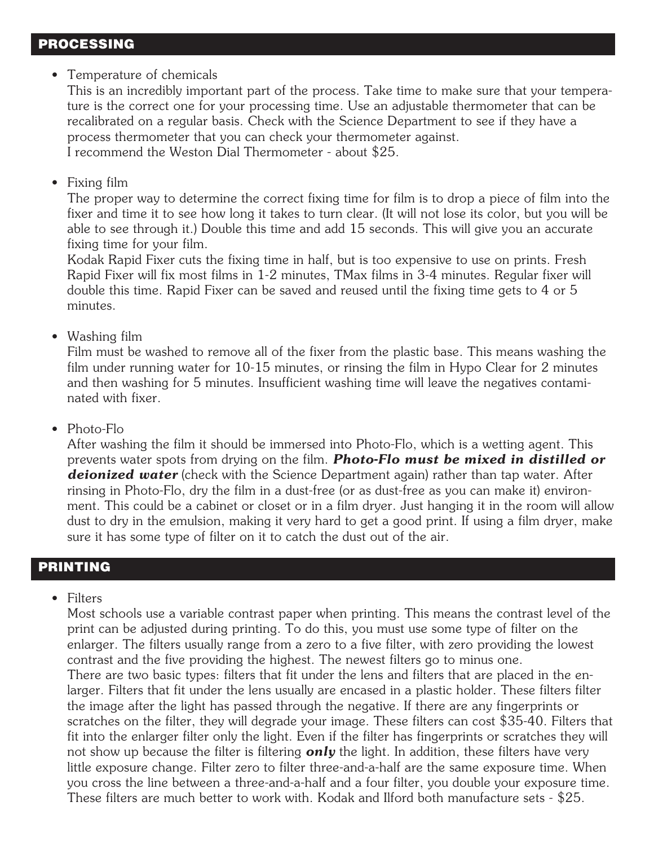#### **PROCESSING**

#### • Temperature of chemicals

This is an incredibly important part of the process. Take time to make sure that your temperature is the correct one for your processing time. Use an adjustable thermometer that can be recalibrated on a regular basis. Check with the Science Department to see if they have a process thermometer that you can check your thermometer against. I recommend the Weston Dial Thermometer - about \$25.

#### • Fixing film

The proper way to determine the correct fixing time for film is to drop a piece of film into the fixer and time it to see how long it takes to turn clear. (It will not lose its color, but you will be able to see through it.) Double this time and add 15 seconds. This will give you an accurate fixing time for your film.

Kodak Rapid Fixer cuts the fixing time in half, but is too expensive to use on prints. Fresh Rapid Fixer will fix most films in 1-2 minutes, TMax films in 3-4 minutes. Regular fixer will double this time. Rapid Fixer can be saved and reused until the fixing time gets to 4 or 5 minutes.

#### • Washing film

Film must be washed to remove all of the fixer from the plastic base. This means washing the film under running water for 10-15 minutes, or rinsing the film in Hypo Clear for 2 minutes and then washing for 5 minutes. Insufficient washing time will leave the negatives contaminated with fixer.

• Photo-Flo

After washing the film it should be immersed into Photo-Flo, which is a wetting agent. This prevents water spots from drying on the film. *Photo-Flo must be mixed in distilled or deionized water* (check with the Science Department again) rather than tap water. After rinsing in Photo-Flo, dry the film in a dust-free (or as dust-free as you can make it) environment. This could be a cabinet or closet or in a film dryer. Just hanging it in the room will allow dust to dry in the emulsion, making it very hard to get a good print. If using a film dryer, make sure it has some type of filter on it to catch the dust out of the air.

#### **PRINTING**

• Filters

Most schools use a variable contrast paper when printing. This means the contrast level of the print can be adjusted during printing. To do this, you must use some type of filter on the enlarger. The filters usually range from a zero to a five filter, with zero providing the lowest contrast and the five providing the highest. The newest filters go to minus one. There are two basic types: filters that fit under the lens and filters that are placed in the enlarger. Filters that fit under the lens usually are encased in a plastic holder. These filters filter the image after the light has passed through the negative. If there are any fingerprints or scratches on the filter, they will degrade your image. These filters can cost \$35-40. Filters that fit into the enlarger filter only the light. Even if the filter has fingerprints or scratches they will not show up because the filter is filtering *only* the light. In addition, these filters have very little exposure change. Filter zero to filter three-and-a-half are the same exposure time. When you cross the line between a three-and-a-half and a four filter, you double your exposure time. These filters are much better to work with. Kodak and Ilford both manufacture sets - \$25.